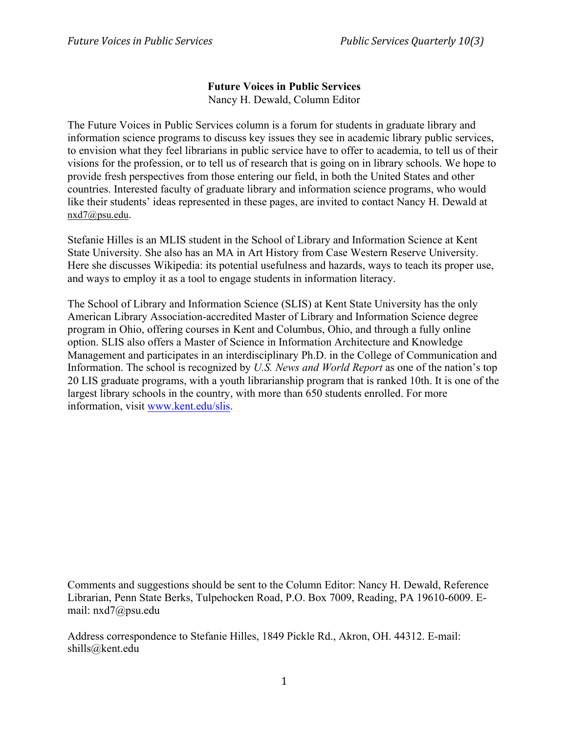## **Future Voices in Public Services**

Nancy H. Dewald, Column Editor

The Future Voices in Public Services column is a forum for students in graduate library and information science programs to discuss key issues they see in academic library public services, to envision what they feel librarians in public service have to offer to academia, to tell us of their visions for the profession, or to tell us of research that is going on in library schools. We hope to provide fresh perspectives from those entering our field, in both the United States and other countries. Interested faculty of graduate library and information science programs, who would like their students' ideas represented in these pages, are invited to contact Nancy H. Dewald at nxd7@psu.edu.

Stefanie Hilles is an MLIS student in the School of Library and Information Science at Kent State University. She also has an MA in Art History from Case Western Reserve University. Here she discusses Wikipedia: its potential usefulness and hazards, ways to teach its proper use, and ways to employ it as a tool to engage students in information literacy.

The School of Library and Information Science (SLIS) at Kent State University has the only American Library Association-accredited Master of Library and Information Science degree program in Ohio, offering courses in Kent and Columbus, Ohio, and through a fully online option. SLIS also offers a Master of Science in Information Architecture and Knowledge Management and participates in an interdisciplinary Ph.D. in the College of Communication and Information. The school is recognized by *U.S. News and World Report* as one of the nation's top 20 LIS graduate programs, with a youth librarianship program that is ranked 10th. It is one of the largest library schools in the country, with more than 650 students enrolled. For more information, visit www.kent.edu/slis.

Comments and suggestions should be sent to the Column Editor: Nancy H. Dewald, Reference Librarian, Penn State Berks, Tulpehocken Road, P.O. Box 7009, Reading, PA 19610-6009. Email: nxd7@psu.edu

Address correspondence to Stefanie Hilles, 1849 Pickle Rd., Akron, OH. 44312. E-mail: shills@kent.edu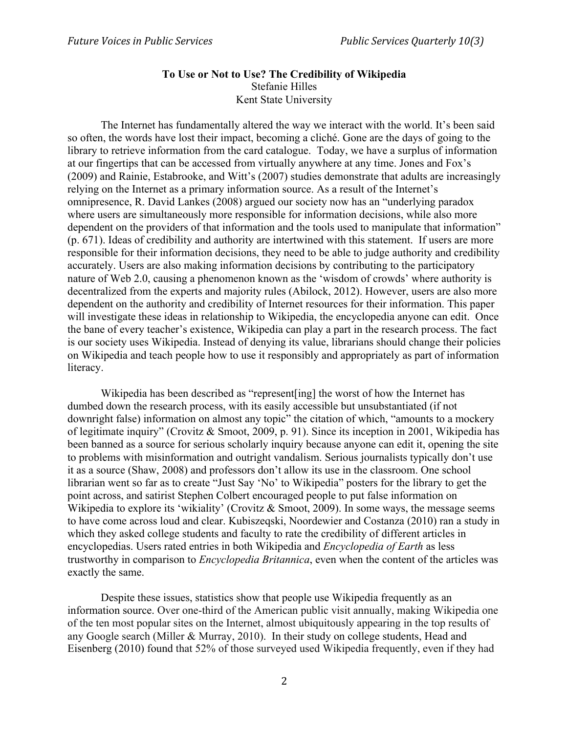## **To Use or Not to Use? The Credibility of Wikipedia** Stefanie Hilles Kent State University

The Internet has fundamentally altered the way we interact with the world. It's been said so often, the words have lost their impact, becoming a cliché. Gone are the days of going to the library to retrieve information from the card catalogue. Today, we have a surplus of information at our fingertips that can be accessed from virtually anywhere at any time. Jones and Fox's (2009) and Rainie, Estabrooke, and Witt's (2007) studies demonstrate that adults are increasingly relying on the Internet as a primary information source. As a result of the Internet's omnipresence, R. David Lankes (2008) argued our society now has an "underlying paradox where users are simultaneously more responsible for information decisions, while also more dependent on the providers of that information and the tools used to manipulate that information" (p. 671). Ideas of credibility and authority are intertwined with this statement. If users are more responsible for their information decisions, they need to be able to judge authority and credibility accurately. Users are also making information decisions by contributing to the participatory nature of Web 2.0, causing a phenomenon known as the 'wisdom of crowds' where authority is decentralized from the experts and majority rules (Abilock, 2012). However, users are also more dependent on the authority and credibility of Internet resources for their information. This paper will investigate these ideas in relationship to Wikipedia, the encyclopedia anyone can edit. Once the bane of every teacher's existence, Wikipedia can play a part in the research process. The fact is our society uses Wikipedia. Instead of denying its value, librarians should change their policies on Wikipedia and teach people how to use it responsibly and appropriately as part of information literacy.

Wikipedia has been described as "represent[ing] the worst of how the Internet has dumbed down the research process, with its easily accessible but unsubstantiated (if not downright false) information on almost any topic" the citation of which, "amounts to a mockery of legitimate inquiry" (Crovitz & Smoot, 2009, p. 91). Since its inception in 2001, Wikipedia has been banned as a source for serious scholarly inquiry because anyone can edit it, opening the site to problems with misinformation and outright vandalism. Serious journalists typically don't use it as a source (Shaw, 2008) and professors don't allow its use in the classroom. One school librarian went so far as to create "Just Say 'No' to Wikipedia" posters for the library to get the point across, and satirist Stephen Colbert encouraged people to put false information on Wikipedia to explore its 'wikiality' (Crovitz & Smoot, 2009). In some ways, the message seems to have come across loud and clear. Kubiszeqski, Noordewier and Costanza (2010) ran a study in which they asked college students and faculty to rate the credibility of different articles in encyclopedias. Users rated entries in both Wikipedia and *Encyclopedia of Earth* as less trustworthy in comparison to *Encyclopedia Britannica*, even when the content of the articles was exactly the same.

Despite these issues, statistics show that people use Wikipedia frequently as an information source. Over one-third of the American public visit annually, making Wikipedia one of the ten most popular sites on the Internet, almost ubiquitously appearing in the top results of any Google search (Miller & Murray, 2010). In their study on college students, Head and Eisenberg (2010) found that 52% of those surveyed used Wikipedia frequently, even if they had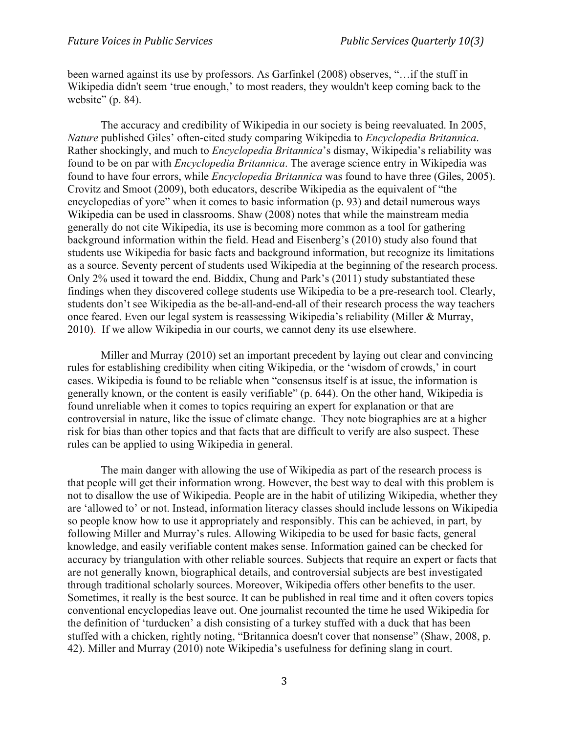been warned against its use by professors. As Garfinkel (2008) observes, "…if the stuff in Wikipedia didn't seem 'true enough,' to most readers, they wouldn't keep coming back to the website" (p. 84).

The accuracy and credibility of Wikipedia in our society is being reevaluated. In 2005, *Nature* published Giles' often-cited study comparing Wikipedia to *Encyclopedia Britannica*. Rather shockingly, and much to *Encyclopedia Britannica*'s dismay, Wikipedia's reliability was found to be on par with *Encyclopedia Britannica*. The average science entry in Wikipedia was found to have four errors, while *Encyclopedia Britannica* was found to have three (Giles, 2005). Crovitz and Smoot (2009), both educators, describe Wikipedia as the equivalent of "the encyclopedias of yore" when it comes to basic information (p. 93) and detail numerous ways Wikipedia can be used in classrooms. Shaw (2008) notes that while the mainstream media generally do not cite Wikipedia, its use is becoming more common as a tool for gathering background information within the field. Head and Eisenberg's (2010) study also found that students use Wikipedia for basic facts and background information, but recognize its limitations as a source. Seventy percent of students used Wikipedia at the beginning of the research process. Only 2% used it toward the end. Biddix, Chung and Park's (2011) study substantiated these findings when they discovered college students use Wikipedia to be a pre-research tool. Clearly, students don't see Wikipedia as the be-all-and-end-all of their research process the way teachers once feared. Even our legal system is reassessing Wikipedia's reliability (Miller & Murray, 2010). If we allow Wikipedia in our courts, we cannot deny its use elsewhere.

Miller and Murray (2010) set an important precedent by laying out clear and convincing rules for establishing credibility when citing Wikipedia, or the 'wisdom of crowds,' in court cases. Wikipedia is found to be reliable when "consensus itself is at issue, the information is generally known, or the content is easily verifiable" (p. 644). On the other hand, Wikipedia is found unreliable when it comes to topics requiring an expert for explanation or that are controversial in nature, like the issue of climate change. They note biographies are at a higher risk for bias than other topics and that facts that are difficult to verify are also suspect. These rules can be applied to using Wikipedia in general.

The main danger with allowing the use of Wikipedia as part of the research process is that people will get their information wrong. However, the best way to deal with this problem is not to disallow the use of Wikipedia. People are in the habit of utilizing Wikipedia, whether they are 'allowed to' or not. Instead, information literacy classes should include lessons on Wikipedia so people know how to use it appropriately and responsibly. This can be achieved, in part, by following Miller and Murray's rules. Allowing Wikipedia to be used for basic facts, general knowledge, and easily verifiable content makes sense. Information gained can be checked for accuracy by triangulation with other reliable sources. Subjects that require an expert or facts that are not generally known, biographical details, and controversial subjects are best investigated through traditional scholarly sources. Moreover, Wikipedia offers other benefits to the user. Sometimes, it really is the best source. It can be published in real time and it often covers topics conventional encyclopedias leave out. One journalist recounted the time he used Wikipedia for the definition of 'turducken' a dish consisting of a turkey stuffed with a duck that has been stuffed with a chicken, rightly noting, "Britannica doesn't cover that nonsense" (Shaw, 2008, p. 42). Miller and Murray (2010) note Wikipedia's usefulness for defining slang in court.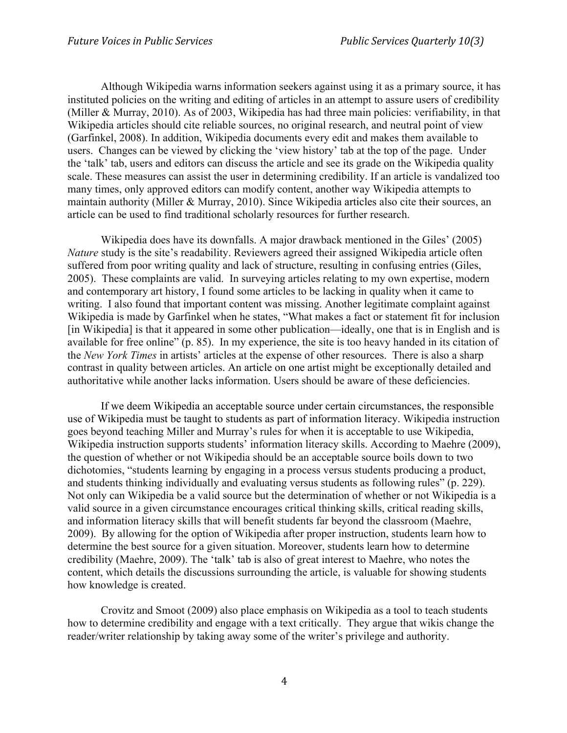Although Wikipedia warns information seekers against using it as a primary source, it has instituted policies on the writing and editing of articles in an attempt to assure users of credibility (Miller & Murray, 2010). As of 2003, Wikipedia has had three main policies: verifiability, in that Wikipedia articles should cite reliable sources, no original research, and neutral point of view (Garfinkel, 2008). In addition, Wikipedia documents every edit and makes them available to users. Changes can be viewed by clicking the 'view history' tab at the top of the page. Under the 'talk' tab, users and editors can discuss the article and see its grade on the Wikipedia quality scale. These measures can assist the user in determining credibility. If an article is vandalized too many times, only approved editors can modify content, another way Wikipedia attempts to maintain authority (Miller & Murray, 2010). Since Wikipedia articles also cite their sources, an article can be used to find traditional scholarly resources for further research.

Wikipedia does have its downfalls. A major drawback mentioned in the Giles' (2005) *Nature* study is the site's readability. Reviewers agreed their assigned Wikipedia article often suffered from poor writing quality and lack of structure, resulting in confusing entries (Giles, 2005). These complaints are valid. In surveying articles relating to my own expertise, modern and contemporary art history, I found some articles to be lacking in quality when it came to writing. I also found that important content was missing. Another legitimate complaint against Wikipedia is made by Garfinkel when he states, "What makes a fact or statement fit for inclusion [in Wikipedia] is that it appeared in some other publication—ideally, one that is in English and is available for free online" (p. 85). In my experience, the site is too heavy handed in its citation of the *New York Times* in artists' articles at the expense of other resources. There is also a sharp contrast in quality between articles. An article on one artist might be exceptionally detailed and authoritative while another lacks information. Users should be aware of these deficiencies.

If we deem Wikipedia an acceptable source under certain circumstances, the responsible use of Wikipedia must be taught to students as part of information literacy. Wikipedia instruction goes beyond teaching Miller and Murray's rules for when it is acceptable to use Wikipedia, Wikipedia instruction supports students' information literacy skills. According to Maehre (2009), the question of whether or not Wikipedia should be an acceptable source boils down to two dichotomies, "students learning by engaging in a process versus students producing a product, and students thinking individually and evaluating versus students as following rules" (p. 229). Not only can Wikipedia be a valid source but the determination of whether or not Wikipedia is a valid source in a given circumstance encourages critical thinking skills, critical reading skills, and information literacy skills that will benefit students far beyond the classroom (Maehre, 2009). By allowing for the option of Wikipedia after proper instruction, students learn how to determine the best source for a given situation. Moreover, students learn how to determine credibility (Maehre, 2009). The 'talk' tab is also of great interest to Maehre, who notes the content, which details the discussions surrounding the article, is valuable for showing students how knowledge is created.

Crovitz and Smoot (2009) also place emphasis on Wikipedia as a tool to teach students how to determine credibility and engage with a text critically. They argue that wikis change the reader/writer relationship by taking away some of the writer's privilege and authority.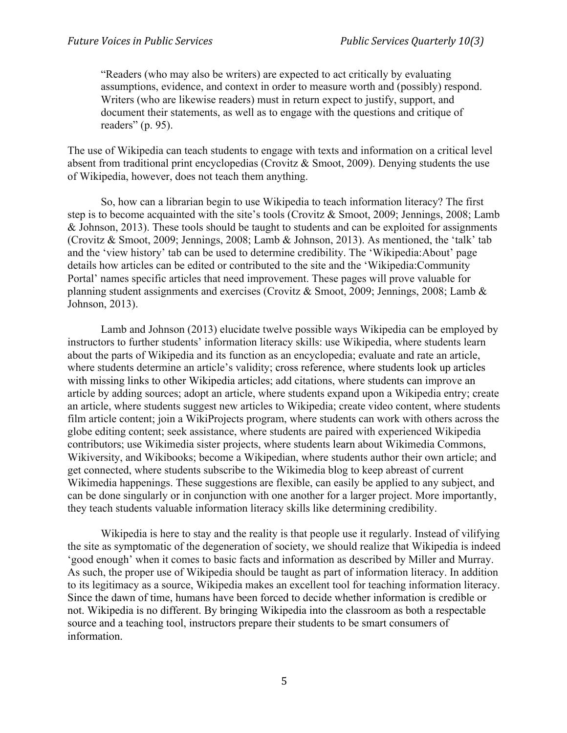"Readers (who may also be writers) are expected to act critically by evaluating assumptions, evidence, and context in order to measure worth and (possibly) respond. Writers (who are likewise readers) must in return expect to justify, support, and document their statements, as well as to engage with the questions and critique of readers" (p. 95).

The use of Wikipedia can teach students to engage with texts and information on a critical level absent from traditional print encyclopedias (Crovitz & Smoot, 2009). Denying students the use of Wikipedia, however, does not teach them anything.

So, how can a librarian begin to use Wikipedia to teach information literacy? The first step is to become acquainted with the site's tools (Crovitz & Smoot, 2009; Jennings, 2008; Lamb & Johnson, 2013). These tools should be taught to students and can be exploited for assignments (Crovitz & Smoot, 2009; Jennings, 2008; Lamb & Johnson, 2013). As mentioned, the 'talk' tab and the 'view history' tab can be used to determine credibility. The 'Wikipedia:About' page details how articles can be edited or contributed to the site and the 'Wikipedia:Community Portal' names specific articles that need improvement. These pages will prove valuable for planning student assignments and exercises (Crovitz & Smoot, 2009; Jennings, 2008; Lamb & Johnson, 2013).

Lamb and Johnson (2013) elucidate twelve possible ways Wikipedia can be employed by instructors to further students' information literacy skills: use Wikipedia, where students learn about the parts of Wikipedia and its function as an encyclopedia; evaluate and rate an article, where students determine an article's validity; cross reference, where students look up articles with missing links to other Wikipedia articles; add citations, where students can improve an article by adding sources; adopt an article, where students expand upon a Wikipedia entry; create an article, where students suggest new articles to Wikipedia; create video content, where students film article content; join a WikiProjects program, where students can work with others across the globe editing content; seek assistance, where students are paired with experienced Wikipedia contributors; use Wikimedia sister projects, where students learn about Wikimedia Commons, Wikiversity, and Wikibooks; become a Wikipedian, where students author their own article; and get connected, where students subscribe to the Wikimedia blog to keep abreast of current Wikimedia happenings. These suggestions are flexible, can easily be applied to any subject, and can be done singularly or in conjunction with one another for a larger project. More importantly, they teach students valuable information literacy skills like determining credibility.

Wikipedia is here to stay and the reality is that people use it regularly. Instead of vilifying the site as symptomatic of the degeneration of society, we should realize that Wikipedia is indeed 'good enough' when it comes to basic facts and information as described by Miller and Murray. As such, the proper use of Wikipedia should be taught as part of information literacy. In addition to its legitimacy as a source, Wikipedia makes an excellent tool for teaching information literacy. Since the dawn of time, humans have been forced to decide whether information is credible or not. Wikipedia is no different. By bringing Wikipedia into the classroom as both a respectable source and a teaching tool, instructors prepare their students to be smart consumers of information.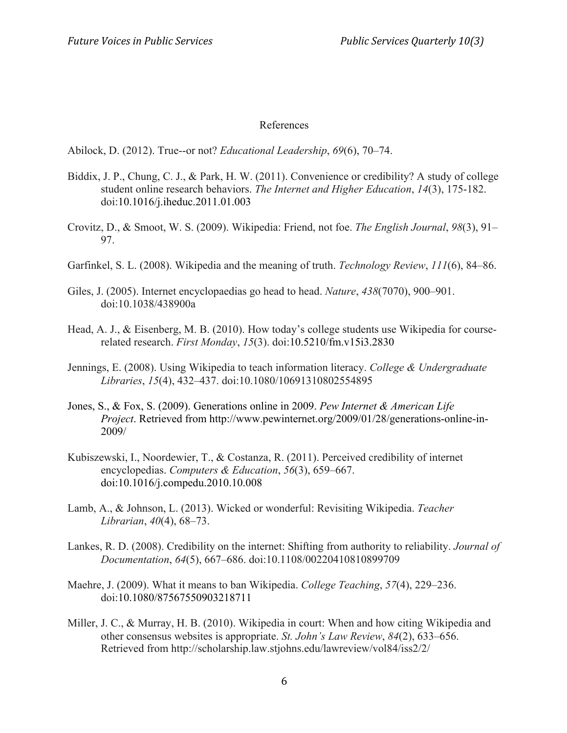## References

Abilock, D. (2012). True--or not? *Educational Leadership*, *69*(6), 70–74.

- Biddix, J. P., Chung, C. J., & Park, H. W. (2011). Convenience or credibility? A study of college student online research behaviors. *The Internet and Higher Education*, *14*(3), 175-182. doi:10.1016/j.iheduc.2011.01.003
- Crovitz, D., & Smoot, W. S. (2009). Wikipedia: Friend, not foe. *The English Journal*, *98*(3), 91– 97.
- Garfinkel, S. L. (2008). Wikipedia and the meaning of truth. *Technology Review*, *111*(6), 84–86.
- Giles, J. (2005). Internet encyclopaedias go head to head. *Nature*, *438*(7070), 900–901. doi:10.1038/438900a
- Head, A. J., & Eisenberg, M. B. (2010). How today's college students use Wikipedia for courserelated research. *First Monday*, *15*(3). doi:10.5210/fm.v15i3.2830
- Jennings, E. (2008). Using Wikipedia to teach information literacy. *College & Undergraduate Libraries*, *15*(4), 432–437. doi:10.1080/10691310802554895
- Jones, S., & Fox, S. (2009). Generations online in 2009. *Pew Internet & American Life Project*. Retrieved from http://www.pewinternet.org/2009/01/28/generations-online-in-2009/
- Kubiszewski, I., Noordewier, T., & Costanza, R. (2011). Perceived credibility of internet encyclopedias. *Computers & Education*, *56*(3), 659–667. doi:10.1016/j.compedu.2010.10.008
- Lamb, A., & Johnson, L. (2013). Wicked or wonderful: Revisiting Wikipedia. *Teacher Librarian*, *40*(4), 68–73.
- Lankes, R. D. (2008). Credibility on the internet: Shifting from authority to reliability. *Journal of Documentation*, *64*(5), 667–686. doi:10.1108/00220410810899709
- Maehre, J. (2009). What it means to ban Wikipedia. *College Teaching*, *57*(4), 229–236. doi:10.1080/87567550903218711
- Miller, J. C., & Murray, H. B. (2010). Wikipedia in court: When and how citing Wikipedia and other consensus websites is appropriate. *St. John's Law Review*, *84*(2), 633–656. Retrieved from http://scholarship.law.stjohns.edu/lawreview/vol84/iss2/2/